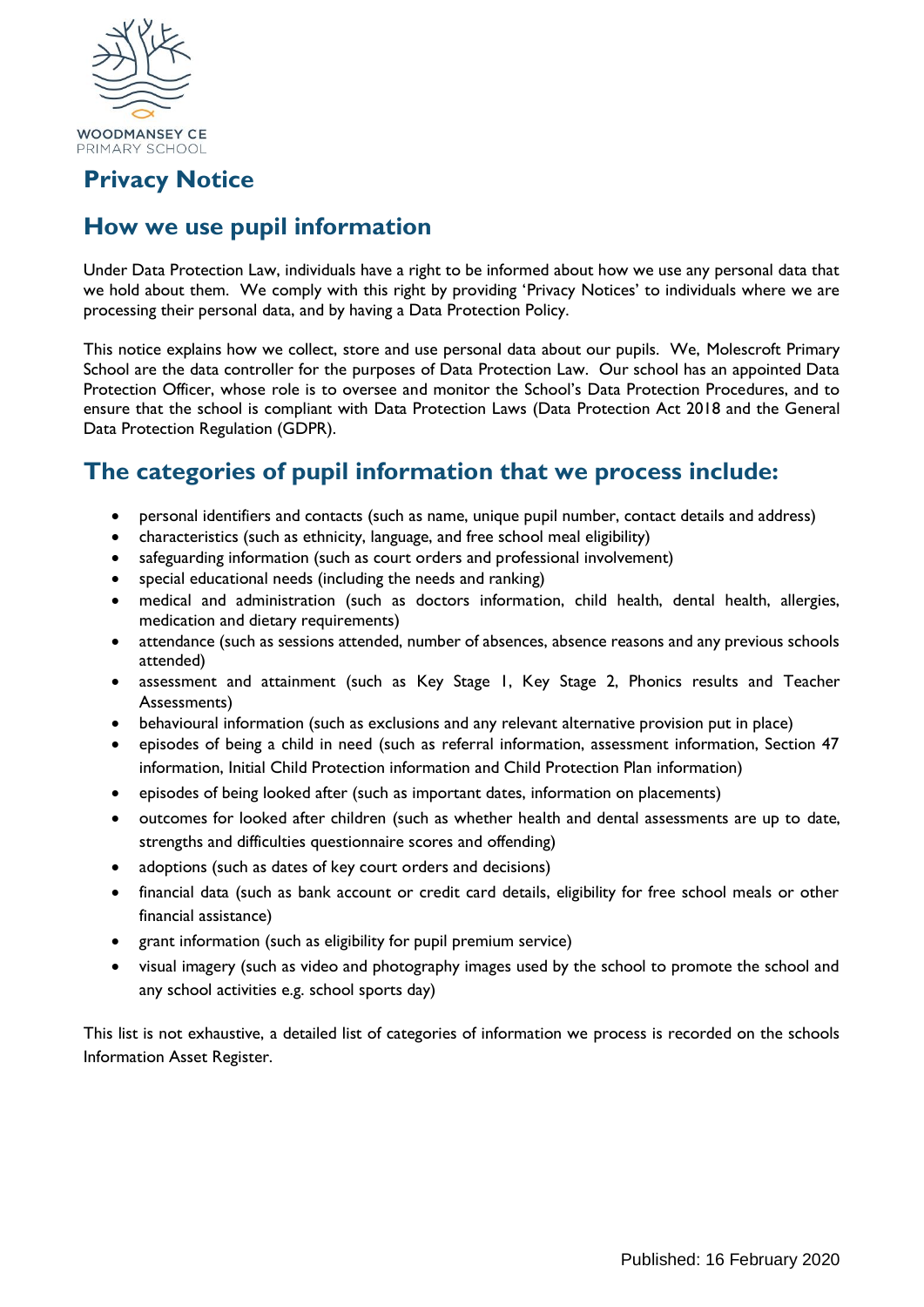

## **Privacy Notice**

# **How we use pupil information**

Under Data Protection Law, individuals have a right to be informed about how we use any personal data that we hold about them. We comply with this right by providing 'Privacy Notices' to individuals where we are processing their personal data, and by having a Data Protection Policy.

This notice explains how we collect, store and use personal data about our pupils. We, Molescroft Primary School are the data controller for the purposes of Data Protection Law. Our school has an appointed Data Protection Officer, whose role is to oversee and monitor the School's Data Protection Procedures, and to ensure that the school is compliant with Data Protection Laws (Data Protection Act 2018 and the General Data Protection Regulation (GDPR).

## **The categories of pupil information that we process include:**

- personal identifiers and contacts (such as name, unique pupil number, contact details and address)
- characteristics (such as ethnicity, language, and free school meal eligibility)
- safeguarding information (such as court orders and professional involvement)
- special educational needs (including the needs and ranking)
- medical and administration (such as doctors information, child health, dental health, allergies, medication and dietary requirements)
- attendance (such as sessions attended, number of absences, absence reasons and any previous schools attended)
- assessment and attainment (such as Key Stage 1, Key Stage 2, Phonics results and Teacher Assessments)
- behavioural information (such as exclusions and any relevant alternative provision put in place)
- episodes of being a child in need (such as referral information, assessment information, Section 47 information, Initial Child Protection information and Child Protection Plan information)
- episodes of being looked after (such as important dates, information on placements)
- outcomes for looked after children (such as whether health and dental assessments are up to date, strengths and difficulties questionnaire scores and offending)
- adoptions (such as dates of key court orders and decisions)
- financial data (such as bank account or credit card details, eligibility for free school meals or other financial assistance)
- grant information (such as eligibility for pupil premium service)
- visual imagery (such as video and photography images used by the school to promote the school and any school activities e.g. school sports day)

This list is not exhaustive, a detailed list of categories of information we process is recorded on the schools Information Asset Register.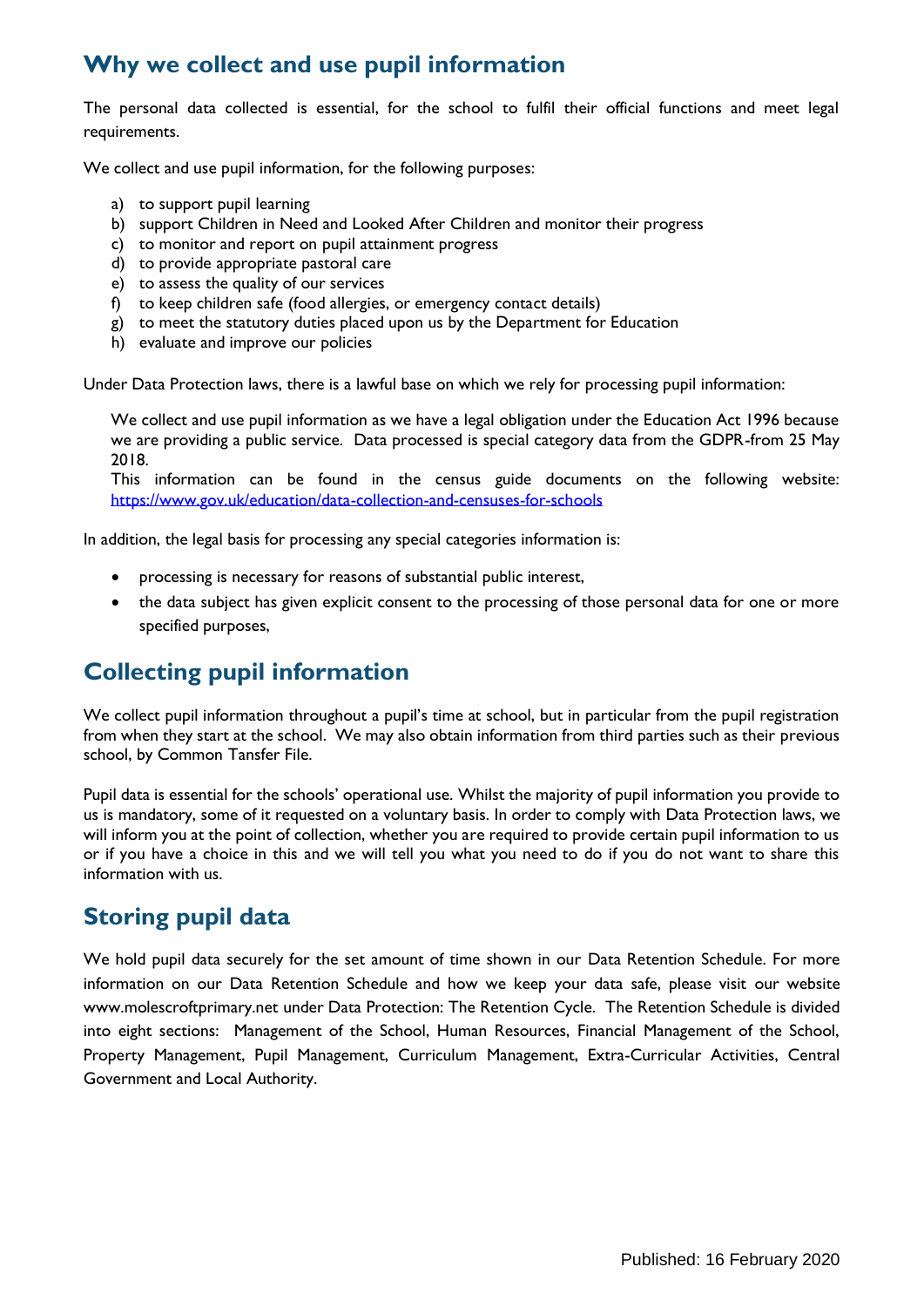### **Why we collect and use pupil information**

The personal data collected is essential, for the school to fulfil their official functions and meet legal requirements.

We collect and use pupil information, for the following purposes:

- a) to support pupil learning
- b) support Children in Need and Looked After Children and monitor their progress
- c) to monitor and report on pupil attainment progress
- d) to provide appropriate pastoral care
- e) to assess the quality of our services
- f) to keep children safe (food allergies, or emergency contact details)
- g) to meet the statutory duties placed upon us by the Department for Education
- h) evaluate and improve our policies

Under Data Protection laws, there is a lawful base on which we rely for processing pupil information:

We collect and use pupil information as we have a legal obligation under the Education Act 1996 because we are providing a public service. Data processed is special category data from the GDPR-from 25 May 2018.

This information can be found in the census guide documents on the following website: <https://www.gov.uk/education/data-collection-and-censuses-for-schools>

In addition, the legal basis for processing any special categories information is:

- processing is necessary for reasons of substantial public interest,
- the data subject has given explicit consent to the processing of those personal data for one or more specified purposes,

## **Collecting pupil information**

We collect pupil information throughout a pupil's time at school, but in particular from the pupil registration from when they start at the school. We may also obtain information from third parties such as their previous school, by Common Tansfer File.

Pupil data is essential for the schools' operational use. Whilst the majority of pupil information you provide to us is mandatory, some of it requested on a voluntary basis. In order to comply with Data Protection laws, we will inform you at the point of collection, whether you are required to provide certain pupil information to us or if you have a choice in this and we will tell you what you need to do if you do not want to share this information with us.

## **Storing pupil data**

We hold pupil data securely for the set amount of time shown in our Data Retention Schedule. For more information on our Data Retention Schedule and how we keep your data safe, please visit our website www.molescroftprimary.net under Data Protection: The Retention Cycle. The Retention Schedule is divided into eight sections: Management of the School, Human Resources, Financial Management of the School, Property Management, Pupil Management, Curriculum Management, Extra-Curricular Activities, Central Government and Local Authority.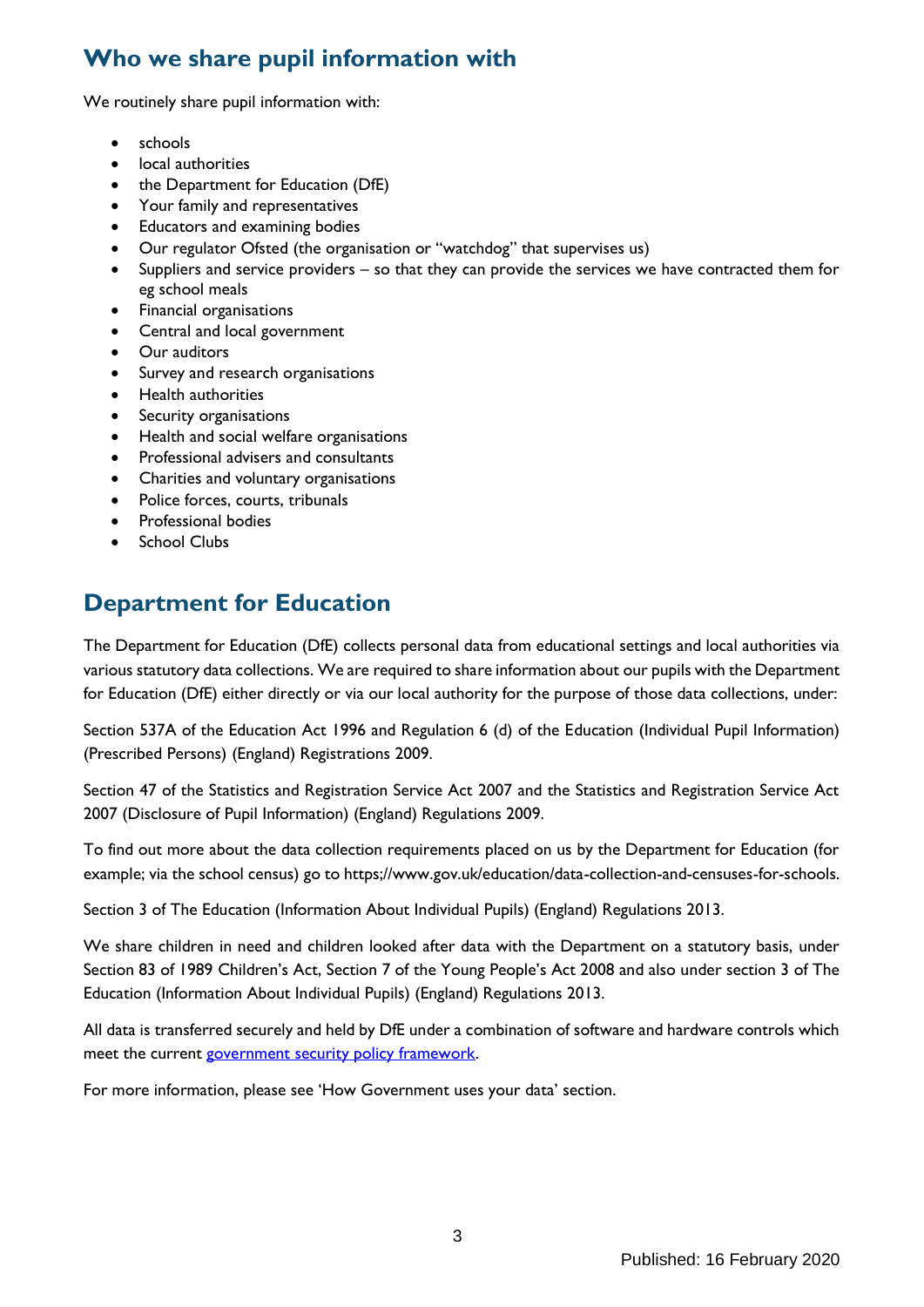# **Who we share pupil information with**

We routinely share pupil information with:

- schools
- local authorities
- the Department for Education (DfE)
- Your family and representatives
- Educators and examining bodies
- Our regulator Ofsted (the organisation or "watchdog" that supervises us)
- Suppliers and service providers so that they can provide the services we have contracted them for eg school meals
- Financial organisations
- Central and local government
- Our auditors
- Survey and research organisations
- Health authorities
- Security organisations
- Health and social welfare organisations
- Professional advisers and consultants
- Charities and voluntary organisations
- Police forces, courts, tribunals
- Professional bodies
- School Clubs

## **Department for Education**

The Department for Education (DfE) collects personal data from educational settings and local authorities via various statutory data collections. We are required to share information about our pupils with the Department for Education (DfE) either directly or via our local authority for the purpose of those data collections, under:

Section 537A of the Education Act 1996 and Regulation 6 (d) of the Education (Individual Pupil Information) (Prescribed Persons) (England) Registrations 2009.

Section 47 of the Statistics and Registration Service Act 2007 and the Statistics and Registration Service Act 2007 (Disclosure of Pupil Information) (England) Regulations 2009.

To find out more about the data collection requirements placed on us by the Department for Education (for example; via the school census) go to https;//www.gov.uk/education/data-collection-and-censuses-for-schools.

Section 3 of The Education (Information About Individual Pupils) (England) Regulations 2013.

We share children in need and children looked after data with the Department on a statutory basis, under Section 83 of 1989 Children's Act, Section 7 of the Young People's Act 2008 and also under section 3 of The Education (Information About Individual Pupils) (England) Regulations 2013.

All data is transferred securely and held by DfE under a combination of software and hardware controls which meet the current [government security policy framework.](https://www.gov.uk/government/publications/security-policy-framework)

For more information, please see 'How Government uses your data' section.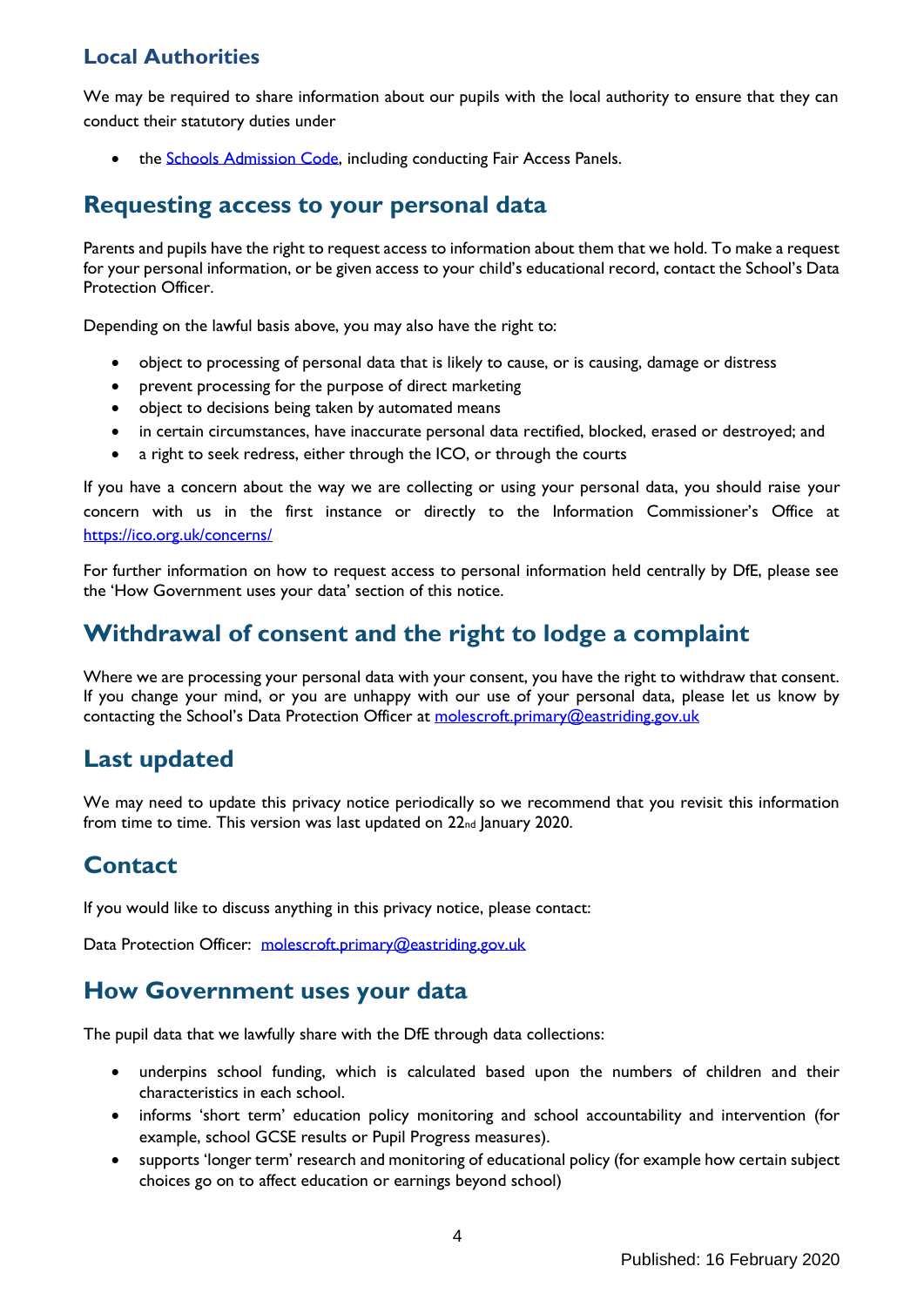### **Local Authorities**

We may be required to share information about our pupils with the local authority to ensure that they can conduct their statutory duties under

• the [Schools Admission Code,](https://www.gov.uk/government/publications/school-admissions-code--2) including conducting Fair Access Panels.

### **Requesting access to your personal data**

Parents and pupils have the right to request access to information about them that we hold. To make a request for your personal information, or be given access to your child's educational record, contact the School's Data Protection Officer.

Depending on the lawful basis above, you may also have the right to:

- object to processing of personal data that is likely to cause, or is causing, damage or distress
- prevent processing for the purpose of direct marketing
- object to decisions being taken by automated means
- in certain circumstances, have inaccurate personal data rectified, blocked, erased or destroyed; and
- a right to seek redress, either through the ICO, or through the courts

If you have a concern about the way we are collecting or using your personal data, you should raise your concern with us in the first instance or directly to the Information Commissioner's Office at <https://ico.org.uk/concerns/>

For further information on how to request access to personal information held centrally by DfE, please see the 'How Government uses your data' section of this notice.

## **Withdrawal of consent and the right to lodge a complaint**

Where we are processing your personal data with your consent, you have the right to withdraw that consent. If you change your mind, or you are unhappy with our use of your personal data, please let us know by contacting the School's Data Protection Officer at [molescroft.primary@eastriding.gov.uk](mailto:molescroft.primary@eastriding.gov.uk)

## **Last updated**

We may need to update this privacy notice periodically so we recommend that you revisit this information from time to time. This version was last updated on 22<sub>nd</sub> January 2020.

## **Contact**

If you would like to discuss anything in this privacy notice, please contact:

Data Protection Officer: [molescroft.primary@eastriding.gov.uk](mailto:molescroft.primary@eastriding.gov.uk)

#### **How Government uses your data**

The pupil data that we lawfully share with the DfE through data collections:

- underpins school funding, which is calculated based upon the numbers of children and their characteristics in each school.
- informs 'short term' education policy monitoring and school accountability and intervention (for example, school GCSE results or Pupil Progress measures).
- supports 'longer term' research and monitoring of educational policy (for example how certain subject choices go on to affect education or earnings beyond school)